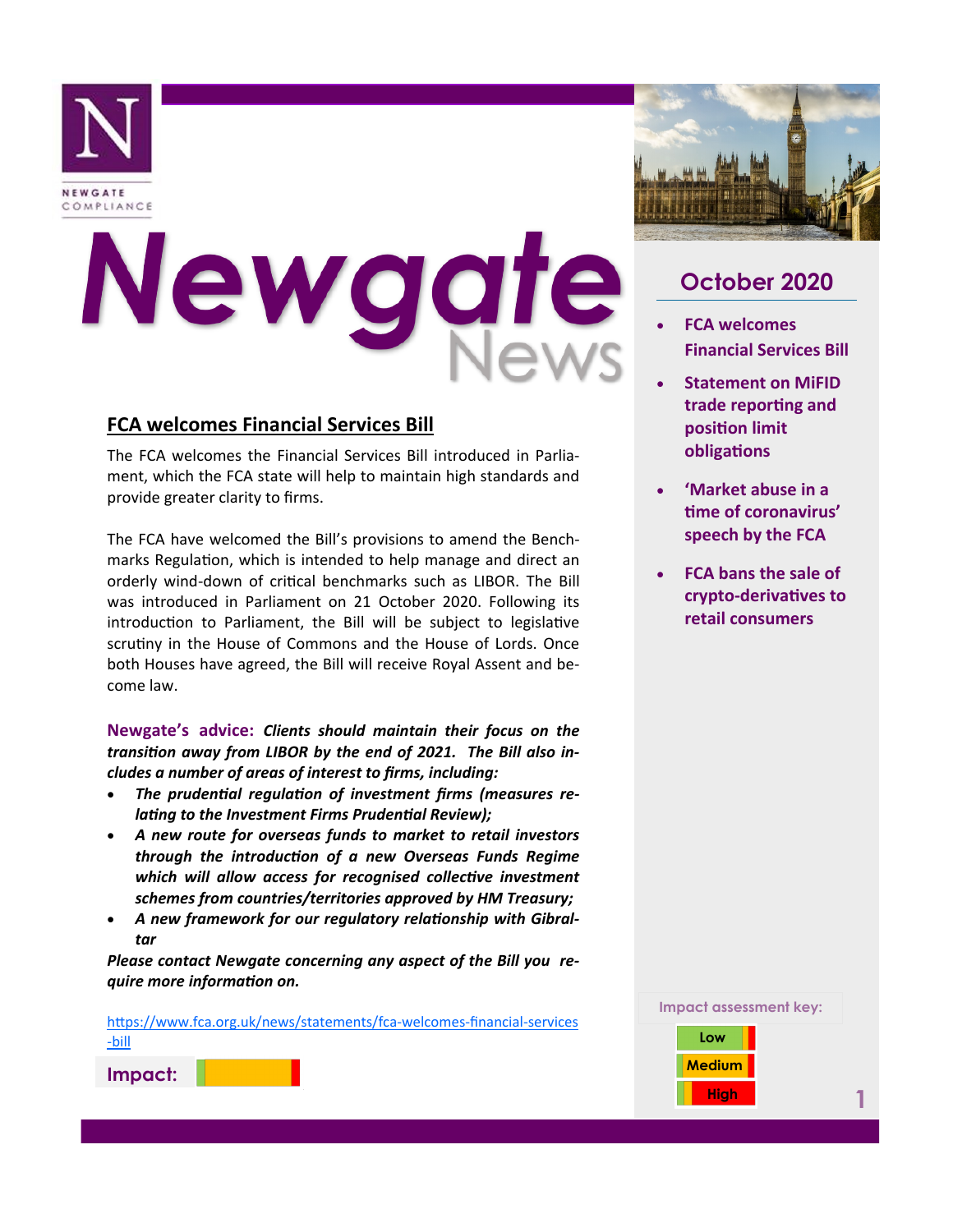

# Newgat

#### **FCA welcomes Financial Services Bill**

The FCA welcomes the Financial Services Bill introduced in Parliament, which the FCA state will help to maintain high standards and provide greater clarity to firms.

The FCA have welcomed the Bill's provisions to amend the Benchmarks Regulation, which is intended to help manage and direct an orderly wind-down of critical benchmarks such as LIBOR. The Bill was introduced in Parliament on 21 October 2020. Following its introduction to Parliament, the Bill will be subject to legislative scrutiny in the House of Commons and the House of Lords. Once both Houses have agreed, the Bill will receive Royal Assent and become law.

**Newgate's advice:** *Clients should maintain their focus on the transition away from LIBOR by the end of 2021. The Bill also includes a number of areas of interest to firms, including:*

- *The prudential regulation of investment firms (measures relating to the Investment Firms Prudential Review);*
- *A new route for overseas funds to market to retail investors through the introduction of a new Overseas Funds Regime which will allow access for recognised collective investment schemes from countries/territories approved by HM Treasury;*
- *A new framework for our regulatory relationship with Gibraltar*

*Please contact Newgate concerning any aspect of the Bill you require more information on.*

[https://www.fca.org.uk/news/statements/fca](https://www.fca.org.uk/news/statements/fca-welcomes-financial-services-bill)-welcomes-financial-services -[bill](https://www.fca.org.uk/news/statements/fca-welcomes-financial-services-bill)





# **October 2020**

- **FCA welcomes Financial Services Bill**
- **Statement on MiFID trade reporting and position limit obligations**
- **'Market abuse in a time of coronavirus' speech by the FCA**
- **FCA bans the sale of crypto-derivatives to retail consumers**

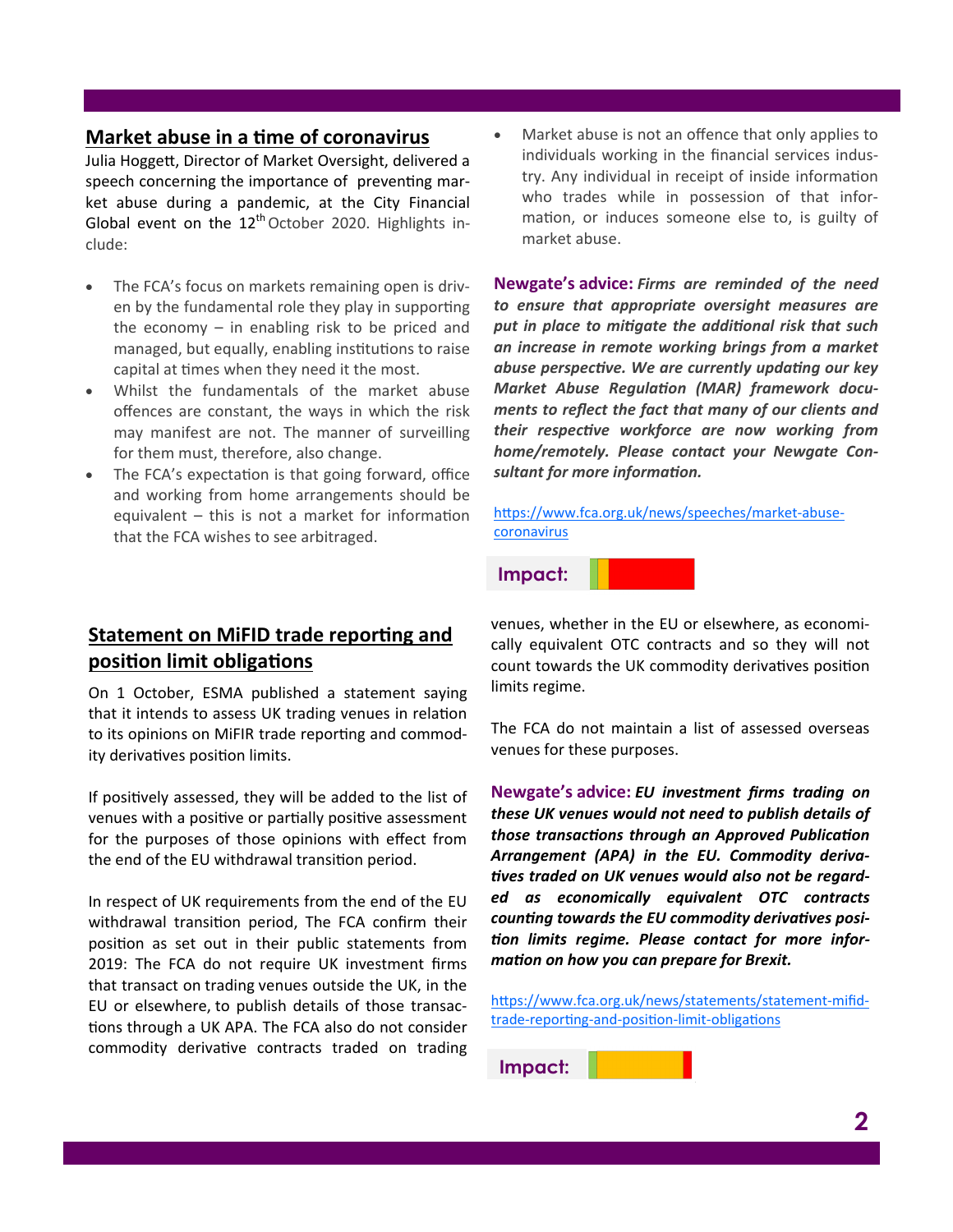#### **Market abuse in a time of coronavirus**

Julia Hoggett, Director of Market Oversight, delivered a speech concerning the importance of preventing market abuse during a pandemic, at the City Financial Global event on the  $12<sup>th</sup>$  October 2020. Highlights include:

- The FCA's focus on markets remaining open is driven by the fundamental role they play in supporting the economy – in enabling risk to be priced and managed, but equally, enabling institutions to raise capital at times when they need it the most.
- Whilst the fundamentals of the market abuse offences are constant, the ways in which the risk may manifest are not. The manner of surveilling for them must, therefore, also change.
- The FCA's expectation is that going forward, office and working from home arrangements should be equivalent – this is not a market for information that the FCA wishes to see arbitraged.

## **Statement on MiFID trade reporting and position limit obligations**

On 1 October, ESMA published a statement saying that it intends to assess UK trading venues in relation to its opinions on MiFIR trade reporting and commodity derivatives position limits.

If positively assessed, they will be added to the list of venues with a positive or partially positive assessment for the purposes of those opinions with effect from the end of the EU withdrawal transition period.

In respect of UK requirements from the end of the EU withdrawal transition period, The FCA confirm their position as set out in their public statements from 2019: The FCA do not require UK investment firms that transact on trading venues outside the UK, in the EU or elsewhere, to publish details of those transactions through a UK APA. The FCA also do not consider commodity derivative contracts traded on trading

Market abuse is not an offence that only applies to individuals working in the financial services industry. Any individual in receipt of inside information who trades while in possession of that information, or induces someone else to, is guilty of market abuse.

**Newgate's advice:** *Firms are reminded of the need to ensure that appropriate oversight measures are put in place to mitigate the additional risk that such an increase in remote working brings from a market abuse perspective. We are currently updating our key Market Abuse Regulation (MAR) framework documents to reflect the fact that many of our clients and their respective workforce are now working from home/remotely. Please contact your Newgate Consultant for more information.* 

[https://www.fca.org.uk/news/speeches/market](https://www.fca.org.uk/news/speeches/market-abuse-coronavirus)-abuse[coronavirus](https://www.fca.org.uk/news/speeches/market-abuse-coronavirus)

**Impact:**

venues, whether in the EU or elsewhere, as economically equivalent OTC contracts and so they will not count towards the UK commodity derivatives position limits regime.

The FCA do not maintain a list of assessed overseas venues for these purposes.

**Newgate's advice:** *EU investment firms trading on these UK venues would not need to publish details of those transactions through an Approved Publication Arrangement (APA) in the EU. Commodity derivatives traded on UK venues would also not be regarded as economically equivalent OTC contracts counting towards the EU commodity derivatives position limits regime. Please contact for more information on how you can prepare for Brexit.*

[https://www.fca.org.uk/news/statements/statement](https://www.fca.org.uk/news/statements/statement-mifid-trade-reporting-and-position-limit-obligations)-mifidtrade-reporting-and-position-limit-[obligations](https://www.fca.org.uk/news/statements/statement-mifid-trade-reporting-and-position-limit-obligations)

**Impact:**